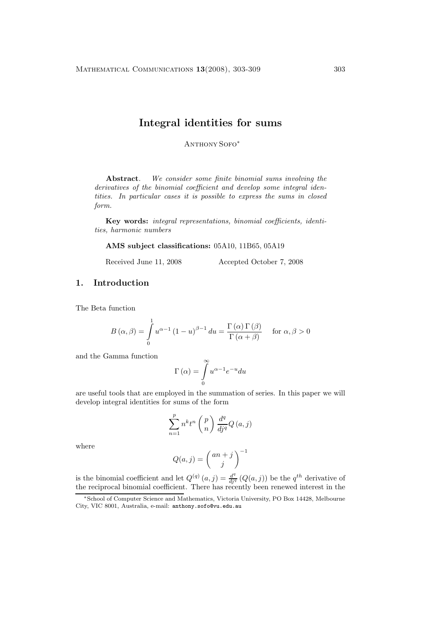# **Integral identities for sums**

Anthony Sofo<sup>∗</sup>

**Abstract***. We consider some finite binomial sums involving the derivatives of the binomial coefficient and develop some integral identities. In particular cases it is possible to express the sums in closed form.*

**Key words:** *integral representations, binomial coefficients, identities, harmonic numbers*

**AMS subject classifications:** 05A10, 11B65, 05A19

Received June 11, 2008 Accepted October 7, 2008

### **1. Introduction**

The Beta function

$$
B(\alpha, \beta) = \int_{0}^{1} u^{\alpha - 1} (1 - u)^{\beta - 1} du = \frac{\Gamma(\alpha) \Gamma(\beta)}{\Gamma(\alpha + \beta)} \quad \text{for } \alpha, \beta > 0
$$

and the Gamma function

$$
\Gamma\left(\alpha\right) = \int\limits_0^\infty {u^{\alpha - 1} e^{ - u} du}
$$

are useful tools that are employed in the summation of series. In this paper we will develop integral identities for sums of the form

$$
\sum_{n=1}^{p} n^{k} t^{n} \left(\begin{matrix} p \\ n \end{matrix}\right) \frac{d^{q}}{dj^{q}} Q(a, j)
$$

where

$$
Q(a,j) = \binom{an+j}{j}^{-1}
$$

is the binomial coefficient and let  $Q^{(q)}(a,j) = \frac{d^q}{di^q} (Q(a,j))$  be the  $q^{th}$  derivative of the reciprocal binomial coefficient. There has recently been renewed interest in the

<sup>∗</sup>School of Computer Science and Mathematics, Victoria University, PO Box 14428, Melbourne City, VIC 8001, Australia, e-mail: anthony.sofo@vu.edu.au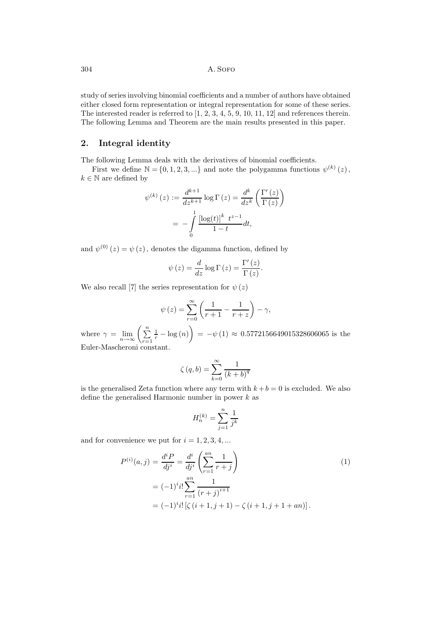304 **A. SOFO** 

study of series involving binomial coefficients and a number of authors have obtained either closed form representation or integral representation for some of these series. The interested reader is referred to  $\left[1, 2, 3, 4, 5, 9, 10, 11, 12\right]$  and references therein. The following Lemma and Theorem are the main results presented in this paper.

## **2. Integral identity**

The following Lemma deals with the derivatives of binomial coefficients.

First we define  $\mathbb{N} = \{0, 1, 2, 3, ...\}$  and note the polygamma functions  $\psi^{(k)}(z)$ ,  $k \in \mathbb{N}$  are defined by

$$
\psi^{(k)}(z) := \frac{d^{k+1}}{dz^{k+1}} \log \Gamma(z) = \frac{d^k}{dz^k} \left( \frac{\Gamma'(z)}{\Gamma(z)} \right)
$$

$$
= -\int_0^1 \frac{\left[ \log(t) \right]^k t^{z-1}}{1-t} dt,
$$

and  $\psi^{(0)}(z) = \psi(z)$ , denotes the digamma function, defined by

$$
\psi(z) = \frac{d}{dz} \log \Gamma(z) = \frac{\Gamma'(z)}{\Gamma(z)}.
$$

We also recall [7] the series representation for  $\psi(z)$ 

$$
\psi(z) = \sum_{r=0}^{\infty} \left( \frac{1}{r+1} - \frac{1}{r+z} \right) - \gamma,
$$

where  $\gamma = \lim_{n \to \infty} \left( \sum_{r=1}^{n} \right)$  $\left(\frac{1}{r} - \log(n)\right) = -\psi(1) \approx 0.5772156649015328606065$  is the Euler-Mascheroni constant.

$$
\zeta(q,b) = \sum_{k=0}^{\infty} \frac{1}{(k+b)^q}
$$

is the generalised Zeta function where any term with  $k + b = 0$  is excluded. We also define the generalised Harmonic number in power  $k$  as

$$
H_n^{(k)} = \sum_{j=1}^n \frac{1}{j^k}
$$

and for convenience we put for  $i = 1, 2, 3, 4, \dots$ 

$$
P^{(i)}(a,j) = \frac{d^i P}{dj^i} = \frac{d^i}{dj^i} \left( \sum_{r=1}^{an} \frac{1}{r+j} \right)
$$
  
=  $(-1)^i i! \sum_{r=1}^{an} \frac{1}{(r+j)^{i+1}}$   
=  $(-1)^i i! \left[ \zeta (i+1, j+1) - \zeta (i+1, j+1+an) \right].$  (1)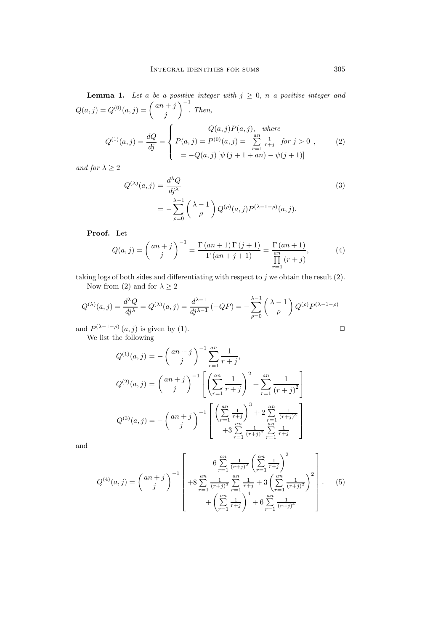**Lemma 1.** Let a be a positive integer with  $j \geq 0$ , n a positive integer and  $Q(a, j) = Q^{(0)}(a, j) = {an + j \choose j}$  $\Big)^{-1}$ . *Then,*  $Q^{(1)}(a, j) = \frac{dQ}{di} =$  $\sqrt{ }$  $\int$  $\overline{\mathcal{L}}$  $-Q(a, j)P(a, j)$ , *where*  $P(a, j) = P^{(0)}(a, j) = \sum_{n=0}^{\infty}$  $\sum_{r=1}$  $\frac{1}{r+j}$  *for*  $j > 0$  $= -Q(a, j) \left[ \psi (j + 1 + an) - \psi (j + 1) \right]$ , (2)

*and for*  $\lambda \geq 2$ 

$$
Q^{(\lambda)}(a,j) = \frac{d^{\lambda}Q}{dj^{\lambda}}
$$
  
= 
$$
-\sum_{\rho=0}^{\lambda-1} \left(\lambda - 1 \atop \rho\right) Q^{(\rho)}(a,j) P^{(\lambda-1-\rho)}(a,j).
$$
 (3)

**Proof.** Let

$$
Q(a,j) = \binom{an+j}{j}^{-1} = \frac{\Gamma(an+1)\Gamma(j+1)}{\Gamma(an+j+1)} = \frac{\Gamma(an+1)}{\prod_{r=1}^{an}(r+j)},\tag{4}
$$

taking logs of both sides and differentiating with respect to  $j$  we obtain the result  $(2)$ . Now from (2) and for  $\lambda \geq 2$ 

$$
Q^{(\lambda)}(a,j) = \frac{d^{\lambda}Q}{dj^{\lambda}} = Q^{(\lambda)}(a,j) = \frac{d^{\lambda-1}}{dj^{\lambda-1}}(-QP) = -\sum_{\rho=0}^{\lambda-1} \binom{\lambda-1}{\rho} Q^{(\rho)}P^{(\lambda-1-\rho)}
$$

and  $P^{(\lambda-1-\rho)}(a,j)$  is given by (1).  $\Box$ 

We list the following

$$
Q^{(1)}(a,j) = -\binom{an+j}{j}^{-1} \sum_{r=1}^{an} \frac{1}{r+j},
$$
  
\n
$$
Q^{(2)}(a,j) = \binom{an+j}{j}^{-1} \left[ \left( \sum_{r=1}^{an} \frac{1}{r+j} \right)^2 + \sum_{r=1}^{an} \frac{1}{(r+j)^2} \right]
$$
  
\n
$$
Q^{(3)}(a,j) = -\binom{an+j}{j}^{-1} \left[ \left( \sum_{r=1}^{an} \frac{1}{r+j} \right)^3 + 2 \sum_{\substack{r=1 \ n \neq j}}^{an} \frac{1}{(r+j)^3} \right]
$$
  
\n
$$
+3 \sum_{r=1}^{an} \frac{1}{(r+j)^2} \sum_{r=1}^{an} \frac{1}{r+j}
$$

and

$$
Q^{(4)}(a,j) = {an+j \choose j}^{-1} \left[ 6 \sum_{r=1}^{an} \frac{1}{(r+j)^2} \left( \sum_{r=1}^{an} \frac{1}{r+j} \right)^2 + 8 \sum_{r=1}^{an} \frac{1}{(r+j)^3} \sum_{r=1}^{an} \frac{1}{r+j} + 3 \left( \sum_{r=1}^{an} \frac{1}{(r+j)^2} \right)^2 + \left( \sum_{r=1}^{an} \frac{1}{(r+j)^4} \right)^4 + 6 \sum_{r=1}^{an} \frac{1}{(r+j)^4} \right].
$$
 (5)

$$
\Box
$$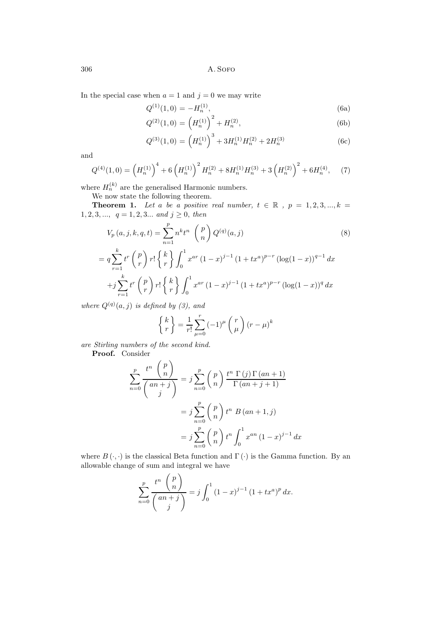306 A. Sofo

In the special case when  $a = 1$  and  $j = 0$  we may write

$$
Q^{(1)}(1,0) = -H_n^{(1)},\tag{6a}
$$

$$
Q^{(2)}(1,0) = \left(H_n^{(1)}\right)^2 + H_n^{(2)},\tag{6b}
$$

$$
Q^{(3)}(1,0) = (H_n^{(1)})^3 + 3H_n^{(1)}H_n^{(2)} + 2H_n^{(3)}
$$
(6c)

and

$$
Q^{(4)}(1,0) = \left(H_n^{(1)}\right)^4 + 6\left(H_n^{(1)}\right)^2 H_n^{(2)} + 8H_n^{(1)}H_n^{(3)} + 3\left(H_n^{(2)}\right)^2 + 6H_n^{(4)},\tag{7}
$$

where  $H_n^{(k)}$  are the generalised Harmonic numbers.

We now state the following theorem.

**Theorem 1.** Let a be a positive real number,  $t \in \mathbb{R}$ ,  $p = 1, 2, 3, ..., k =$ 1, 2, 3, ...,  $q = 1, 2, 3...$  *and*  $j \ge 0$ *, then* 

$$
V_p(a,j,k,q,t) = \sum_{n=1}^p n^k t^n \binom{p}{n} Q^{(q)}(a,j)
$$
(8)  
=  $q \sum_{r=1}^k t^r \binom{p}{r} r! \binom{k}{r} \int_0^1 x^{ar} (1-x)^{j-1} (1+tx^a)^{p-r} (\log(1-x))^{q-1} dx$   
+ $j \sum_{r=1}^k t^r \binom{p}{r} r! \binom{k}{r} \int_0^1 x^{ar} (1-x)^{j-1} (1+tx^a)^{p-r} (\log(1-x))^q dx$ 

*where*  $Q^{(q)}(a, j)$  *is defined by* (3), and

$$
\left\{ \begin{array}{c} k \\ r \end{array} \right\} = \frac{1}{r!} \sum_{\mu=0}^{r} (-1)^{\mu} \left( \begin{array}{c} r \\ \mu \end{array} \right) (r - \mu)^{k}
$$

*are Stirling numbers of the second kind.*

**Proof.** Consider

$$
\sum_{n=0}^{p} \frac{t^n \binom{p}{n}}{\binom{an+j}{j}} = j \sum_{n=0}^{p} \binom{p}{n} \frac{t^n \Gamma(j) \Gamma(an+1)}{\Gamma(an+j+1)}
$$

$$
= j \sum_{n=0}^{p} \binom{p}{n} t^n B(an+1,j)
$$

$$
= j \sum_{n=0}^{p} \binom{p}{n} t^n \int_0^1 x^{an} (1-x)^{j-1} dx
$$

where  $B(\cdot, \cdot)$  is the classical Beta function and  $\Gamma(\cdot)$  is the Gamma function. By an allowable change of sum and integral we have

$$
\sum_{n=0}^{p} \frac{t^n \binom{p}{n}}{\binom{an+j}{j}} = j \int_0^1 (1-x)^{j-1} (1+tx^a)^p dx.
$$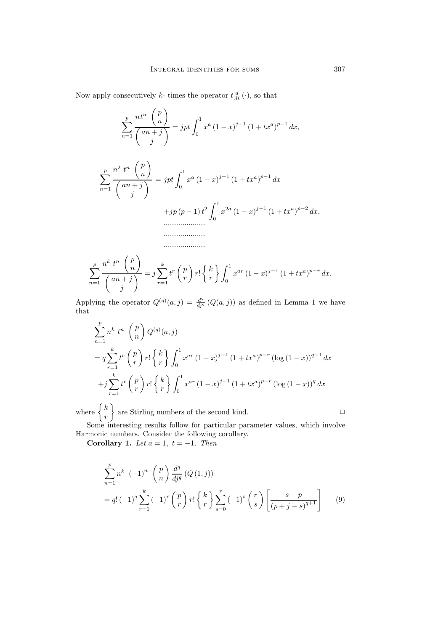Now apply consecutively k- times the operator  $t \frac{d}{dt}(\cdot)$ , so that

$$
\sum_{n=1}^{p} \frac{nt^n \binom{p}{n}}{\binom{an+j}{j}} = jpt \int_0^1 x^a (1-x)^{j-1} (1+tx^a)^{p-1} dx,
$$

$$
\sum_{n=1}^{p} \frac{n^2 t^n \binom{p}{n}}{\binom{an+j}{j}} = jpt \int_0^1 x^a (1-x)^{j-1} (1+tx^a)^{p-1} dx
$$
  
+  $jp (p-1) t^2 \int_0^1 x^{2a} (1-x)^{j-1} (1+tx^a)^{p-2} dx,$   
...........

$$
\sum_{n=1}^{p} \frac{n^{k} t^{n} \binom{p}{n}}{\binom{an+j}{j}} = j \sum_{r=1}^{k} t^{r} \binom{p}{r} r! \left\{ \binom{k}{r} \int_{0}^{1} x^{ar} (1-x)^{j-1} (1+tx^{a})^{p-r} dx \right\}
$$

....................

Applying the operator  $Q^{(q)}(a, j) = \frac{d^q}{di^q} (Q(a, j))$  as defined in Lemma 1 we have that

$$
\sum_{n=1}^{p} n^{k} t^{n} \binom{p}{n} Q^{(q)}(a, j)
$$
\n
$$
= q \sum_{r=1}^{k} t^{r} \binom{p}{r} r! \binom{k}{r} \int_{0}^{1} x^{ar} (1-x)^{j-1} (1+tx^{a})^{p-r} (\log (1-x))^{q-1} dx
$$
\n
$$
+ j \sum_{r=1}^{k} t^{r} \binom{p}{r} r! \binom{k}{r} \int_{0}^{1} x^{ar} (1-x)^{j-1} (1+tx^{a})^{p-r} (\log (1-x))^{q} dx
$$

where  $\begin{cases} k \\ r \end{cases}$  $\}$  are Stirling numbers of the second kind.  $\Box$ 

Some interesting results follow for particular parameter values, which involve Harmonic numbers. Consider the following corollary.

**Corollary 1.** *Let*  $a = 1$ ,  $t = -1$ *. Then* 

$$
\sum_{n=1}^{p} n^{k} (-1)^{n} {p \choose n} \frac{d^{q}}{dj^{q}} (Q(1, j))
$$
  
=  $q! (-1)^{q} \sum_{r=1}^{k} (-1)^{r} {p \choose r} r! {k \choose r} \sum_{s=0}^{r} (-1)^{s} {r \choose s} \left[ \frac{s-p}{(p+j-s)^{q+1}} \right]$  (9)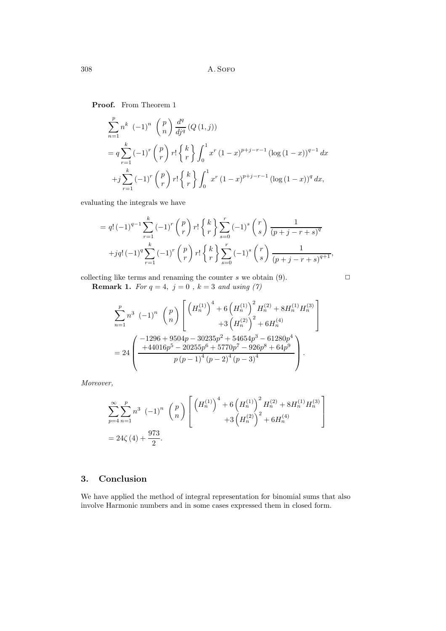**Proof.** From Theorem 1

$$
\sum_{n=1}^{p} n^{k} (-1)^{n} {p \choose n} \frac{d^{q}}{dj^{q}} (Q(1, j))
$$
  
=  $q \sum_{r=1}^{k} (-1)^{r} {p \choose r} r! {k \choose r} \int_{0}^{1} x^{r} (1-x)^{p+j-r-1} (\log (1-x))^{q-1} dx$   
+ $j \sum_{r=1}^{k} (-1)^{r} {p \choose r} r! {k \choose r} \int_{0}^{1} x^{r} (1-x)^{p+j-r-1} (\log (1-x))^{q} dx,$ 

evaluating the integrals we have

$$
= q! \, (-1)^{q-1} \sum_{r=1}^{k} (-1)^r \binom{p}{r} r! \begin{Bmatrix} k \\ r \end{Bmatrix} \sum_{s=0}^r (-1)^s \binom{r}{s} \frac{1}{(p+j-r+s)^q}
$$

$$
+jq! \, (-1)^q \sum_{r=1}^k (-1)^r \binom{p}{r} r! \begin{Bmatrix} k \\ r \end{Bmatrix} \sum_{s=0}^r (-1)^s \binom{r}{s} \frac{1}{(p+j-r+s)^{q+1}},
$$

collecting like terms and renaming the counter  $s$  we obtain  $(9)$ .

**Remark 1.** *For*  $q = 4$ ,  $j = 0$ ,  $k = 3$  *and using* (7)

$$
\sum_{n=1}^{p} n^3 (-1)^n \binom{p}{n} \left[ \binom{H_n^{(1)}}^4 + 6 \left( H_n^{(1)} \right)^2 H_n^{(2)} + 8 H_n^{(1)} H_n^{(3)} \right] + 3 \left( H_n^{(2)} \right)^2 + 6 H_n^{(4)}
$$
  
= 
$$
24 \left( \frac{-1296 + 9504p - 30235p^2 + 54654p^3 - 61280p^4}{p (p-1)^4 (p-2)^4 (p-3)^4} \right).
$$

*Moreover,*

$$
\sum_{p=4}^{\infty} \sum_{n=1}^{p} n^3 (-1)^n \binom{p}{n} \left[ \binom{H_n^{(1)}}{n}^4 + 6 \left( H_n^{(1)} \right)^2 H_n^{(2)} + 8 H_n^{(1)} H_n^{(3)} \right] \n= 24\zeta(4) + \frac{973}{2}.
$$

## **3. Conclusion**

We have applied the method of integral representation for binomial sums that also involve Harmonic numbers and in some cases expressed them in closed form.

$$
\Box
$$